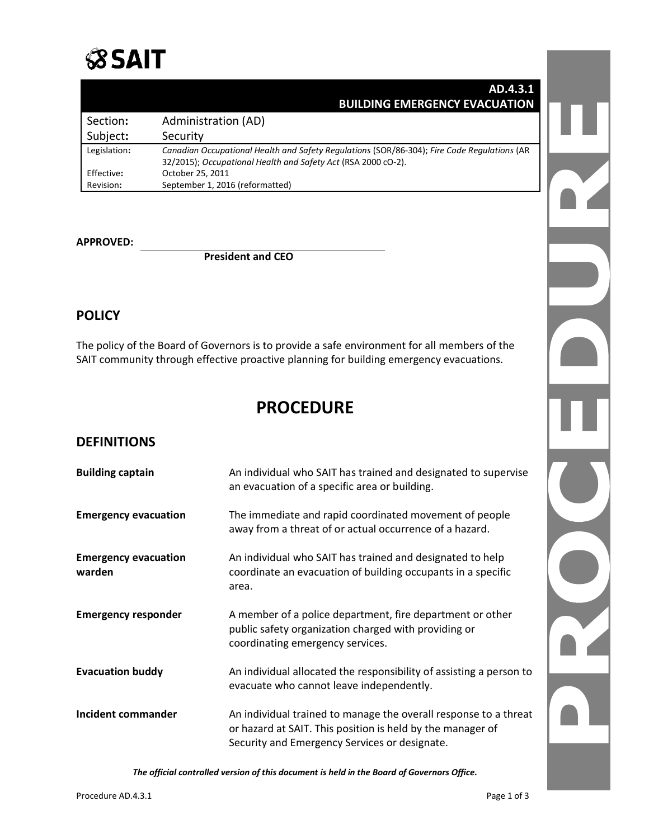

|              | AD.4.3.1                                                                                    |
|--------------|---------------------------------------------------------------------------------------------|
|              | <b>BUILDING EMERGENCY EVACUATION</b>                                                        |
| Section:     | Administration (AD)                                                                         |
| Subject:     | Security                                                                                    |
| Legislation: | Canadian Occupational Health and Safety Regulations (SOR/86-304); Fire Code Regulations (AR |
| Effective:   | 32/2015); Occupational Health and Safety Act (RSA 2000 cO-2).<br>October 25, 2011           |
| Revision:    | September 1, 2016 (reformatted)                                                             |

#### **APPROVED:**

**President and CEO**

#### **POLICY**

The policy of the Board of Governors is to provide a safe environment for all members of the SAIT community through effective proactive planning for building emergency evacuations.

# **PROCEDURE**

#### **DEFINITIONS**

| <b>Building captain</b>               | An individual who SAIT has trained and designated to supervise<br>an evacuation of a specific area or building.                                                                 |  |
|---------------------------------------|---------------------------------------------------------------------------------------------------------------------------------------------------------------------------------|--|
| <b>Emergency evacuation</b>           | The immediate and rapid coordinated movement of people<br>away from a threat of or actual occurrence of a hazard.                                                               |  |
| <b>Emergency evacuation</b><br>warden | An individual who SAIT has trained and designated to help<br>coordinate an evacuation of building occupants in a specific<br>area.                                              |  |
| <b>Emergency responder</b>            | A member of a police department, fire department or other<br>public safety organization charged with providing or<br>coordinating emergency services.                           |  |
| <b>Evacuation buddy</b>               | An individual allocated the responsibility of assisting a person to<br>evacuate who cannot leave independently.                                                                 |  |
| Incident commander                    | An individual trained to manage the overall response to a threat<br>or hazard at SAIT. This position is held by the manager of<br>Security and Emergency Services or designate. |  |

*The official controlled version of this document is held in the Board of Governors Office.*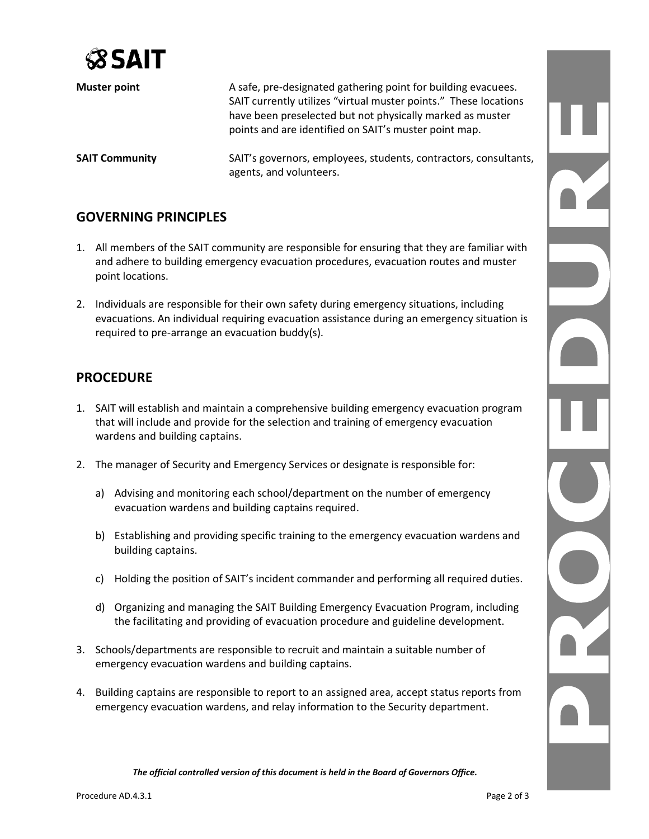

| <b>Muster point</b>   | A safe, pre-designated gathering point for building evacuees.<br>SAIT currently utilizes "virtual muster points." These locations<br>have been preselected but not physically marked as muster<br>points and are identified on SAIT's muster point map. |
|-----------------------|---------------------------------------------------------------------------------------------------------------------------------------------------------------------------------------------------------------------------------------------------------|
| <b>SAIT Community</b> | SAIT's governors, employees, students, contractors, consultants,<br>agents, and volunteers.                                                                                                                                                             |

### **GOVERNING PRINCIPLES**

- 1. All members of the SAIT community are responsible for ensuring that they are familiar with and adhere to building emergency evacuation procedures, evacuation routes and muster point locations.
- 2. Individuals are responsible for their own safety during emergency situations, including evacuations. An individual requiring evacuation assistance during an emergency situation is required to pre-arrange an evacuation buddy(s).

#### **PROCEDURE**

- 1. SAIT will establish and maintain a comprehensive building emergency evacuation program that will include and provide for the selection and training of emergency evacuation wardens and building captains.
- 2. The manager of Security and Emergency Services or designate is responsible for:
	- a) Advising and monitoring each school/department on the number of emergency evacuation wardens and building captains required.
	- b) Establishing and providing specific training to the emergency evacuation wardens and building captains.
	- c) Holding the position of SAIT's incident commander and performing all required duties.
	- d) Organizing and managing the SAIT Building Emergency Evacuation Program, including the facilitating and providing of evacuation procedure and guideline development.
- 3. Schools/departments are responsible to recruit and maintain a suitable number of emergency evacuation wardens and building captains.
- 4. Building captains are responsible to report to an assigned area, accept status reports from emergency evacuation wardens, and relay information to the Security department.

*The official controlled version of this document is held in the Board of Governors Office.*